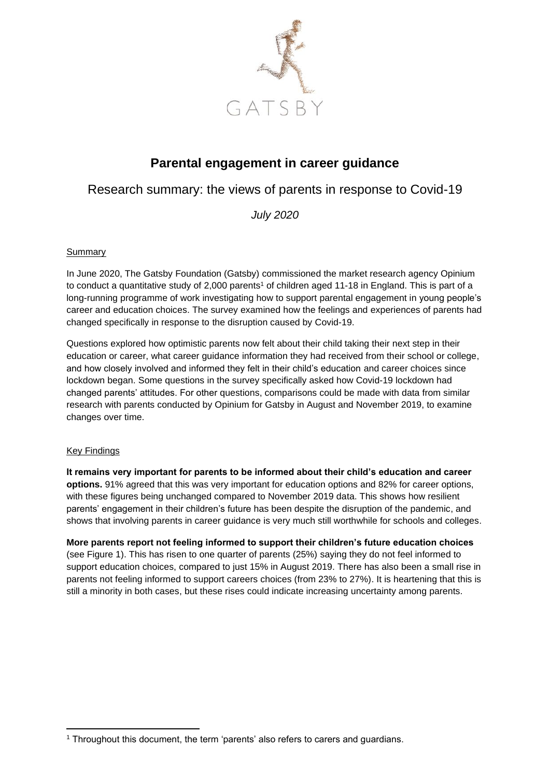

# **Parental engagement in career guidance**

## Research summary: the views of parents in response to Covid-19

*July 2020*

## Summary

In June 2020, The Gatsby Foundation (Gatsby) commissioned the market research agency Opinium to conduct a quantitative study of 2,000 parents<sup>1</sup> of children aged 11-18 in England. This is part of a long-running programme of work investigating how to support parental engagement in young people's career and education choices. The survey examined how the feelings and experiences of parents had changed specifically in response to the disruption caused by Covid-19.

Questions explored how optimistic parents now felt about their child taking their next step in their education or career, what career guidance information they had received from their school or college, and how closely involved and informed they felt in their child's education and career choices since lockdown began. Some questions in the survey specifically asked how Covid-19 lockdown had changed parents' attitudes. For other questions, comparisons could be made with data from similar research with parents conducted by Opinium for Gatsby in August and November 2019, to examine changes over time.

#### Key Findings

**It remains very important for parents to be informed about their child's education and career options.** 91% agreed that this was very important for education options and 82% for career options, with these figures being unchanged compared to November 2019 data. This shows how resilient parents' engagement in their children's future has been despite the disruption of the pandemic, and shows that involving parents in career guidance is very much still worthwhile for schools and colleges.

**More parents report not feeling informed to support their children's future education choices** (see Figure 1). This has risen to one quarter of parents (25%) saying they do not feel informed to support education choices, compared to just 15% in August 2019. There has also been a small rise in parents not feeling informed to support careers choices (from 23% to 27%). It is heartening that this is still a minority in both cases, but these rises could indicate increasing uncertainty among parents.

<sup>1</sup> Throughout this document, the term 'parents' also refers to carers and guardians.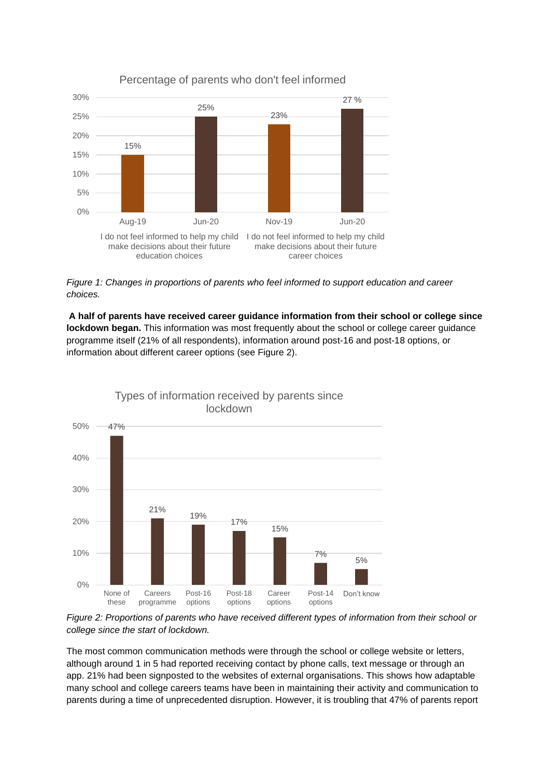

## Percentage of parents who don't feel informed

*Figure 1: Changes in proportions of parents who feel informed to support education and career choices.*

**A half of parents have received career guidance information from their school or college since lockdown began.** This information was most frequently about the school or college career guidance programme itself (21% of all respondents), information around post-16 and post-18 options, or information about different career options (see Figure 2).



Types of information received by parents since

*Figure 2: Proportions of parents who have received different types of information from their school or college since the start of lockdown.*

The most common communication methods were through the school or college website or letters, although around 1 in 5 had reported receiving contact by phone calls, text message or through an app. 21% had been signposted to the websites of external organisations. This shows how adaptable many school and college careers teams have been in maintaining their activity and communication to parents during a time of unprecedented disruption. However, it is troubling that 47% of parents report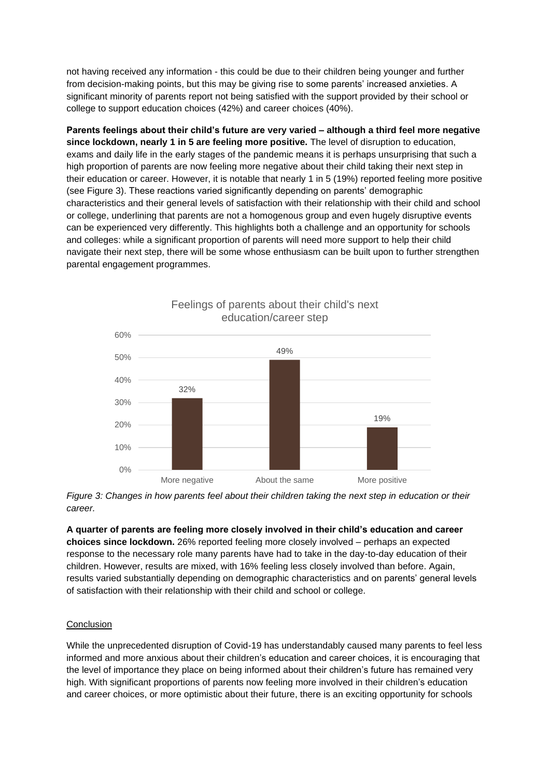not having received any information - this could be due to their children being younger and further from decision-making points, but this may be giving rise to some parents' increased anxieties. A significant minority of parents report not being satisfied with the support provided by their school or college to support education choices (42%) and career choices (40%).

**Parents feelings about their child's future are very varied – although a third feel more negative since lockdown, nearly 1 in 5 are feeling more positive.** The level of disruption to education, exams and daily life in the early stages of the pandemic means it is perhaps unsurprising that such a high proportion of parents are now feeling more negative about their child taking their next step in their education or career. However, it is notable that nearly 1 in 5 (19%) reported feeling more positive (see Figure 3). These reactions varied significantly depending on parents' demographic characteristics and their general levels of satisfaction with their relationship with their child and school or college, underlining that parents are not a homogenous group and even hugely disruptive events can be experienced very differently. This highlights both a challenge and an opportunity for schools and colleges: while a significant proportion of parents will need more support to help their child navigate their next step, there will be some whose enthusiasm can be built upon to further strengthen parental engagement programmes.



Feelings of parents about their child's next education/career step

*Figure 3: Changes in how parents feel about their children taking the next step in education or their career.*

**A quarter of parents are feeling more closely involved in their child's education and career choices since lockdown.** 26% reported feeling more closely involved – perhaps an expected response to the necessary role many parents have had to take in the day-to-day education of their children. However, results are mixed, with 16% feeling less closely involved than before. Again, results varied substantially depending on demographic characteristics and on parents' general levels of satisfaction with their relationship with their child and school or college.

#### Conclusion

While the unprecedented disruption of Covid-19 has understandably caused many parents to feel less informed and more anxious about their children's education and career choices, it is encouraging that the level of importance they place on being informed about their children's future has remained very high. With significant proportions of parents now feeling more involved in their children's education and career choices, or more optimistic about their future, there is an exciting opportunity for schools